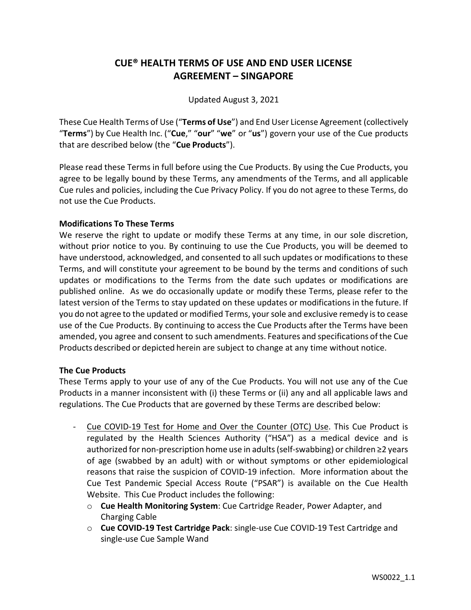# **CUE® HEALTH TERMS OF USE AND END USER LICENSE AGREEMENT – SINGAPORE**

Updated August 3, 2021

These Cue Health Terms of Use ("**Terms of Use**") and End User License Agreement (collectively "**Terms**") by Cue Health Inc. ("**Cue**," "**our**" "**we**" or "**us**") govern your use of the Cue products that are described below (the "**Cue Products**").

Please read these Terms in full before using the Cue Products. By using the Cue Products, you agree to be legally bound by these Terms, any amendments of the Terms, and all applicable Cue rules and policies, including the Cue Privacy Policy. If you do not agree to these Terms, do not use the Cue Products.

## **Modifications To These Terms**

We reserve the right to update or modify these Terms at any time, in our sole discretion, without prior notice to you. By continuing to use the Cue Products, you will be deemed to have understood, acknowledged, and consented to all such updates or modifications to these Terms, and will constitute your agreement to be bound by the terms and conditions of such updates or modifications to the Terms from the date such updates or modifications are published online. As we do occasionally update or modify these Terms, please refer to the latest version of the Terms to stay updated on these updates or modifications in the future. If you do not agree to the updated or modified Terms, your sole and exclusive remedy is to cease use of the Cue Products. By continuing to access the Cue Products after the Terms have been amended, you agree and consent to such amendments. Features and specifications of the Cue Products described or depicted herein are subject to change at any time without notice.

## **The Cue Products**

These Terms apply to your use of any of the Cue Products. You will not use any of the Cue Products in a manner inconsistent with (i) these Terms or (ii) any and all applicable laws and regulations. The Cue Products that are governed by these Terms are described below:

- Cue COVID-19 Test for Home and Over the Counter (OTC) Use. This Cue Product is regulated by the Health Sciences Authority ("HSA") as a medical device and is authorized for non-prescription home use in adults (self-swabbing) or children ≥2 years of age (swabbed by an adult) with or without symptoms or other epidemiological reasons that raise the suspicion of COVID-19 infection. More information about the Cue Test Pandemic Special Access Route ("PSAR") is available on the Cue Health Website. This Cue Product includes the following:
	- o **Cue Health Monitoring System**: Cue Cartridge Reader, Power Adapter, and Charging Cable
	- o **Cue COVID-19 Test Cartridge Pack**: single-use Cue COVID-19 Test Cartridge and single-use Cue Sample Wand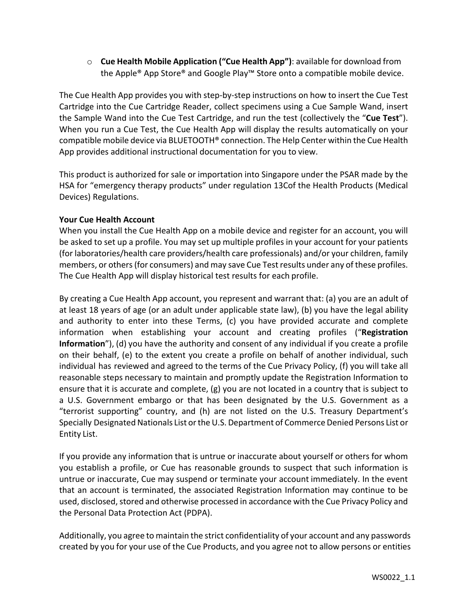o **Cue Health Mobile Application ("Cue Health App")**: available for download from the Apple® App Store® and Google Play™ Store onto a compatible mobile device.

The Cue Health App provides you with step-by-step instructions on how to insert the Cue Test Cartridge into the Cue Cartridge Reader, collect specimens using a Cue Sample Wand, insert the Sample Wand into the Cue Test Cartridge, and run the test (collectively the "**Cue Test**"). When you run a Cue Test, the Cue Health App will display the results automatically on your compatible mobile device via BLUETOOTH® connection. The Help Center within the Cue Health App provides additional instructional documentation for you to view.

This product is authorized for sale or importation into Singapore under the PSAR made by the HSA for "emergency therapy products" under regulation 13Cof the Health Products (Medical Devices) Regulations.

## **Your Cue Health Account**

When you install the Cue Health App on a mobile device and register for an account, you will be asked to set up a profile. You may set up multiple profiles in your account for your patients (for laboratories/health care providers/health care professionals) and/or your children, family members, or others (for consumers) and may save Cue Test results under any of these profiles. The Cue Health App will display historical test results for each profile.

By creating a Cue Health App account, you represent and warrant that: (a) you are an adult of at least 18 years of age (or an adult under applicable state law), (b) you have the legal ability and authority to enter into these Terms, (c) you have provided accurate and complete information when establishing your account and creating profiles ("**Registration Information**"), (d) you have the authority and consent of any individual if you create a profile on their behalf, (e) to the extent you create a profile on behalf of another individual, such individual has reviewed and agreed to the terms of the Cue Privacy Policy, (f) you will take all reasonable steps necessary to maintain and promptly update the Registration Information to ensure that it is accurate and complete, (g) you are not located in a country that is subject to a U.S. Government embargo or that has been designated by the U.S. Government as a "terrorist supporting" country, and (h) are not listed on the U.S. Treasury Department's Specially Designated Nationals List or the U.S. Department of Commerce Denied Persons List or Entity List.

If you provide any information that is untrue or inaccurate about yourself or others for whom you establish a profile, or Cue has reasonable grounds to suspect that such information is untrue or inaccurate, Cue may suspend or terminate your account immediately. In the event that an account is terminated, the associated Registration Information may continue to be used, disclosed, stored and otherwise processed in accordance with the Cue Privacy Policy and the Personal Data Protection Act (PDPA).

Additionally, you agree to maintain the strict confidentiality of your account and any passwords created by you for your use of the Cue Products, and you agree not to allow persons or entities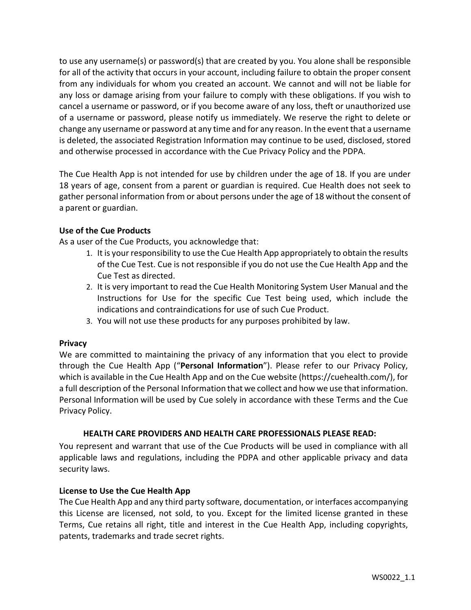to use any username(s) or password(s) that are created by you. You alone shall be responsible for all of the activity that occurs in your account, including failure to obtain the proper consent from any individuals for whom you created an account. We cannot and will not be liable for any loss or damage arising from your failure to comply with these obligations. If you wish to cancel a username or password, or if you become aware of any loss, theft or unauthorized use of a username or password, please notify us immediately. We reserve the right to delete or change any username or password at any time and for any reason. In the event that a username is deleted, the associated Registration Information may continue to be used, disclosed, stored and otherwise processed in accordance with the Cue Privacy Policy and the PDPA.

The Cue Health App is not intended for use by children under the age of 18. If you are under 18 years of age, consent from a parent or guardian is required. Cue Health does not seek to gather personal information from or about persons under the age of 18 without the consent of a parent or guardian.

# **Use of the Cue Products**

As a user of the Cue Products, you acknowledge that:

- 1. It is your responsibility to use the Cue Health App appropriately to obtain the results of the Cue Test. Cue is not responsible if you do not use the Cue Health App and the Cue Test as directed.
- 2. It is very important to read the Cue Health Monitoring System User Manual and the Instructions for Use for the specific Cue Test being used, which include the indications and contraindications for use of such Cue Product.
- 3. You will not use these products for any purposes prohibited by law.

## **Privacy**

We are committed to maintaining the privacy of any information that you elect to provide through the Cue Health App ("**Personal Information**"). Please refer to our Privacy Policy, which is available in the Cue Health App and on the Cue website (https://cuehealth.com/), for a full description of the Personal Information that we collect and how we use thatinformation. Personal Information will be used by Cue solely in accordance with these Terms and the Cue Privacy Policy.

## **HEALTH CARE PROVIDERS AND HEALTH CARE PROFESSIONALS PLEASE READ:**

You represent and warrant that use of the Cue Products will be used in compliance with all applicable laws and regulations, including the PDPA and other applicable privacy and data security laws.

## **License to Use the Cue Health App**

The Cue Health App and any third party software, documentation, or interfaces accompanying this License are licensed, not sold, to you. Except for the limited license granted in these Terms, Cue retains all right, title and interest in the Cue Health App, including copyrights, patents, trademarks and trade secret rights.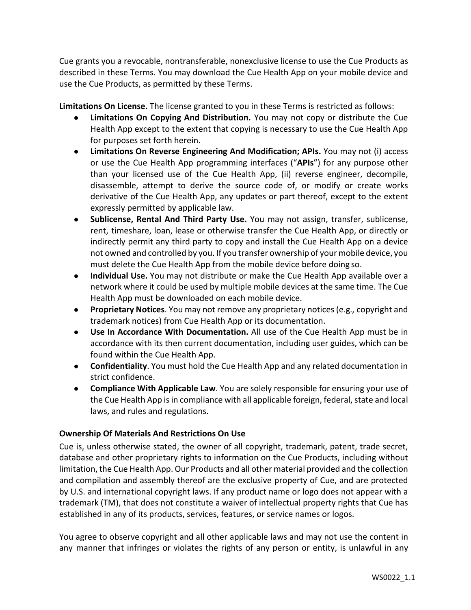Cue grants you a revocable, nontransferable, nonexclusive license to use the Cue Products as described in these Terms. You may download the Cue Health App on your mobile device and use the Cue Products, as permitted by these Terms.

**Limitations On License.** The license granted to you in these Terms is restricted as follows:

- **● Limitations On Copying And Distribution.** You may not copy or distribute the Cue Health App except to the extent that copying is necessary to use the Cue Health App for purposes set forth herein.
- **● Limitations On Reverse Engineering And Modification; APIs.** You may not (i) access or use the Cue Health App programming interfaces ("**APIs**") for any purpose other than your licensed use of the Cue Health App, (ii) reverse engineer, decompile, disassemble, attempt to derive the source code of, or modify or create works derivative of the Cue Health App, any updates or part thereof, except to the extent expressly permitted by applicable law.
- **● Sublicense, Rental And Third Party Use.** You may not assign, transfer, sublicense, rent, timeshare, loan, lease or otherwise transfer the Cue Health App, or directly or indirectly permit any third party to copy and install the Cue Health App on a device not owned and controlled by you. If you transfer ownership of your mobile device, you must delete the Cue Health App from the mobile device before doing so.
- **● Individual Use.** You may not distribute or make the Cue Health App available over a network where it could be used by multiple mobile devices at the same time. The Cue Health App must be downloaded on each mobile device.
- **● Proprietary Notices**. You may not remove any proprietary notices (e.g*.,* copyright and trademark notices) from Cue Health App or its documentation.
- **● Use In Accordance With Documentation.** All use of the Cue Health App must be in accordance with its then current documentation, including user guides, which can be found within the Cue Health App.
- **● Confidentiality**. You must hold the Cue Health App and any related documentation in strict confidence.
- **● Compliance With Applicable Law**. You are solely responsible for ensuring your use of the Cue Health App is in compliance with all applicable foreign, federal, state and local laws, and rules and regulations.

# **Ownership Of Materials And Restrictions On Use**

Cue is, unless otherwise stated, the owner of all copyright, trademark, patent, trade secret, database and other proprietary rights to information on the Cue Products, including without limitation, the Cue Health App. Our Products and all other material provided and the collection and compilation and assembly thereof are the exclusive property of Cue, and are protected by U.S. and international copyright laws. If any product name or logo does not appear with a trademark (TM), that does not constitute a waiver of intellectual property rights that Cue has established in any of its products, services, features, or service names or logos.

You agree to observe copyright and all other applicable laws and may not use the content in any manner that infringes or violates the rights of any person or entity, is unlawful in any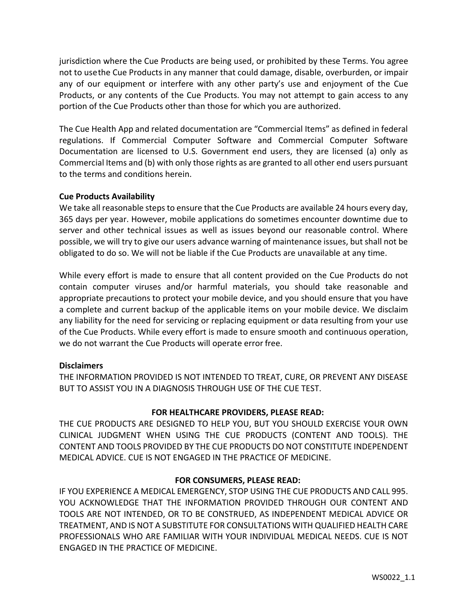jurisdiction where the Cue Products are being used, or prohibited by these Terms. You agree not to usethe Cue Products in any manner that could damage, disable, overburden, or impair any of our equipment or interfere with any other party's use and enjoyment of the Cue Products, or any contents of the Cue Products. You may not attempt to gain access to any portion of the Cue Products other than those for which you are authorized.

The Cue Health App and related documentation are "Commercial Items" as defined in federal regulations. If Commercial Computer Software and Commercial Computer Software Documentation are licensed to U.S. Government end users, they are licensed (a) only as Commercial Items and (b) with only those rights as are granted to all other end users pursuant to the terms and conditions herein.

## **Cue Products Availability**

We take all reasonable steps to ensure that the Cue Products are available 24 hours every day, 365 days per year. However, mobile applications do sometimes encounter downtime due to server and other technical issues as well as issues beyond our reasonable control. Where possible, we will try to give our users advance warning of maintenance issues, but shall not be obligated to do so. We will not be liable if the Cue Products are unavailable at any time.

While every effort is made to ensure that all content provided on the Cue Products do not contain computer viruses and/or harmful materials, you should take reasonable and appropriate precautions to protect your mobile device, and you should ensure that you have a complete and current backup of the applicable items on your mobile device. We disclaim any liability for the need for servicing or replacing equipment or data resulting from your use of the Cue Products. While every effort is made to ensure smooth and continuous operation, we do not warrant the Cue Products will operate error free.

## **Disclaimers**

THE INFORMATION PROVIDED IS NOT INTENDED TO TREAT, CURE, OR PREVENT ANY DISEASE BUT TO ASSIST YOU IN A DIAGNOSIS THROUGH USE OF THE CUE TEST.

## **FOR HEALTHCARE PROVIDERS, PLEASE READ:**

THE CUE PRODUCTS ARE DESIGNED TO HELP YOU, BUT YOU SHOULD EXERCISE YOUR OWN CLINICAL JUDGMENT WHEN USING THE CUE PRODUCTS (CONTENT AND TOOLS). THE CONTENT AND TOOLS PROVIDED BY THE CUE PRODUCTS DO NOT CONSTITUTE INDEPENDENT MEDICAL ADVICE. CUE IS NOT ENGAGED IN THE PRACTICE OF MEDICINE.

## **FOR CONSUMERS, PLEASE READ:**

IF YOU EXPERIENCE A MEDICAL EMERGENCY, STOP USING THE CUE PRODUCTS AND CALL 995. YOU ACKNOWLEDGE THAT THE INFORMATION PROVIDED THROUGH OUR CONTENT AND TOOLS ARE NOT INTENDED, OR TO BE CONSTRUED, AS INDEPENDENT MEDICAL ADVICE OR TREATMENT, AND IS NOT A SUBSTITUTE FOR CONSULTATIONS WITH QUALIFIED HEALTH CARE PROFESSIONALS WHO ARE FAMILIAR WITH YOUR INDIVIDUAL MEDICAL NEEDS. CUE IS NOT ENGAGED IN THE PRACTICE OF MEDICINE.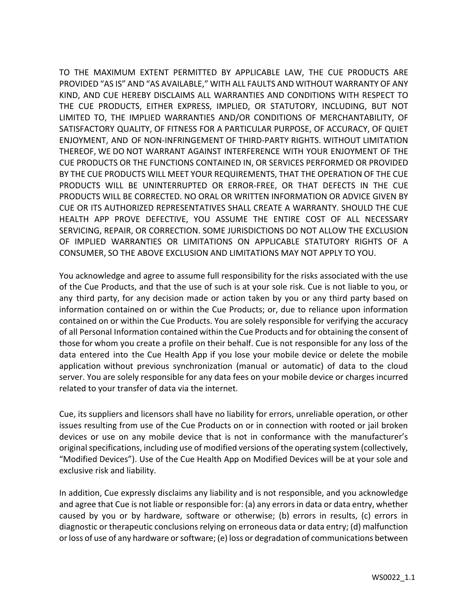TO THE MAXIMUM EXTENT PERMITTED BY APPLICABLE LAW, THE CUE PRODUCTS ARE PROVIDED "AS IS" AND "AS AVAILABLE," WITH ALL FAULTS AND WITHOUT WARRANTY OF ANY KIND, AND CUE HEREBY DISCLAIMS ALL WARRANTIES AND CONDITIONS WITH RESPECT TO THE CUE PRODUCTS, EITHER EXPRESS, IMPLIED, OR STATUTORY, INCLUDING, BUT NOT LIMITED TO, THE IMPLIED WARRANTIES AND/OR CONDITIONS OF MERCHANTABILITY, OF SATISFACTORY QUALITY, OF FITNESS FOR A PARTICULAR PURPOSE, OF ACCURACY, OF QUIET ENJOYMENT, AND OF NON-INFRINGEMENT OF THIRD-PARTY RIGHTS. WITHOUT LIMITATION THEREOF, WE DO NOT WARRANT AGAINST INTERFERENCE WITH YOUR ENJOYMENT OF THE CUE PRODUCTS OR THE FUNCTIONS CONTAINED IN, OR SERVICES PERFORMED OR PROVIDED BY THE CUE PRODUCTS WILL MEET YOUR REQUIREMENTS, THAT THE OPERATION OF THE CUE PRODUCTS WILL BE UNINTERRUPTED OR ERROR-FREE, OR THAT DEFECTS IN THE CUE PRODUCTS WILL BE CORRECTED. NO ORAL OR WRITTEN INFORMATION OR ADVICE GIVEN BY CUE OR ITS AUTHORIZED REPRESENTATIVES SHALL CREATE A WARRANTY. SHOULD THE CUE HEALTH APP PROVE DEFECTIVE, YOU ASSUME THE ENTIRE COST OF ALL NECESSARY SERVICING, REPAIR, OR CORRECTION. SOME JURISDICTIONS DO NOT ALLOW THE EXCLUSION OF IMPLIED WARRANTIES OR LIMITATIONS ON APPLICABLE STATUTORY RIGHTS OF A CONSUMER, SO THE ABOVE EXCLUSION AND LIMITATIONS MAY NOT APPLY TO YOU.

You acknowledge and agree to assume full responsibility for the risks associated with the use of the Cue Products, and that the use of such is at your sole risk. Cue is not liable to you, or any third party, for any decision made or action taken by you or any third party based on information contained on or within the Cue Products; or, due to reliance upon information contained on or within the Cue Products. You are solely responsible for verifying the accuracy of all Personal Information contained within the Cue Products and for obtaining the consent of those for whom you create a profile on their behalf. Cue is not responsible for any loss of the data entered into the Cue Health App if you lose your mobile device or delete the mobile application without previous synchronization (manual or automatic) of data to the cloud server. You are solely responsible for any data fees on your mobile device or charges incurred related to your transfer of data via the internet.

Cue, its suppliers and licensors shall have no liability for errors, unreliable operation, or other issues resulting from use of the Cue Products on or in connection with rooted or jail broken devices or use on any mobile device that is not in conformance with the manufacturer's original specifications, including use of modified versions of the operating system (collectively, "Modified Devices"). Use of the Cue Health App on Modified Devices will be at your sole and exclusive risk and liability.

In addition, Cue expressly disclaims any liability and is not responsible, and you acknowledge and agree that Cue is not liable or responsible for: (a) any errors in data or data entry, whether caused by you or by hardware, software or otherwise; (b) errors in results, (c) errors in diagnostic or therapeutic conclusions relying on erroneous data or data entry; (d) malfunction or loss of use of any hardware or software; (e) loss or degradation of communications between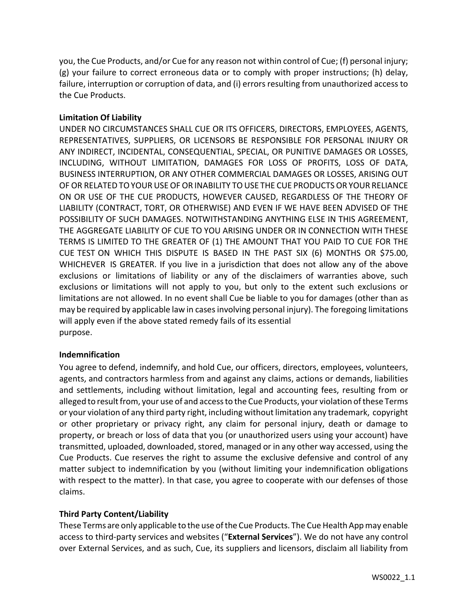you, the Cue Products, and/or Cue for any reason not within control of Cue; (f) personal injury; (g) your failure to correct erroneous data or to comply with proper instructions; (h) delay, failure, interruption or corruption of data, and (i) errors resulting from unauthorized access to the Cue Products.

#### **Limitation Of Liability**

UNDER NO CIRCUMSTANCES SHALL CUE OR ITS OFFICERS, DIRECTORS, EMPLOYEES, AGENTS, REPRESENTATIVES, SUPPLIERS, OR LICENSORS BE RESPONSIBLE FOR PERSONAL INJURY OR ANY INDIRECT, INCIDENTAL, CONSEQUENTIAL, SPECIAL, OR PUNITIVE DAMAGES OR LOSSES, INCLUDING, WITHOUT LIMITATION, DAMAGES FOR LOSS OF PROFITS, LOSS OF DATA, BUSINESS INTERRUPTION, OR ANY OTHER COMMERCIAL DAMAGES OR LOSSES, ARISING OUT OF OR RELATED TO YOUR USE OF OR INABILITY TO USE THE CUE PRODUCTS OR YOUR RELIANCE ON OR USE OF THE CUE PRODUCTS, HOWEVER CAUSED, REGARDLESS OF THE THEORY OF LIABILITY (CONTRACT, TORT, OR OTHERWISE) AND EVEN IF WE HAVE BEEN ADVISED OF THE POSSIBILITY OF SUCH DAMAGES. NOTWITHSTANDING ANYTHING ELSE IN THIS AGREEMENT, THE AGGREGATE LIABILITY OF CUE TO YOU ARISING UNDER OR IN CONNECTION WITH THESE TERMS IS LIMITED TO THE GREATER OF (1) THE AMOUNT THAT YOU PAID TO CUE FOR THE CUE TEST ON WHICH THIS DISPUTE IS BASED IN THE PAST SIX (6) MONTHS OR \$75.00, WHICHEVER IS GREATER. If you live in a jurisdiction that does not allow any of the above exclusions or limitations of liability or any of the disclaimers of warranties above, such exclusions or limitations will not apply to you, but only to the extent such exclusions or limitations are not allowed. In no event shall Cue be liable to you for damages (other than as may be required by applicable law in cases involving personal injury). The foregoing limitations will apply even if the above stated remedy fails of its essential purpose.

#### **Indemnification**

You agree to defend, indemnify, and hold Cue, our officers, directors, employees, volunteers, agents, and contractors harmless from and against any claims, actions or demands, liabilities and settlements, including without limitation, legal and accounting fees, resulting from or alleged to result from, your use of and access to the Cue Products, your violation of these Terms or your violation of any third party right, including without limitation any trademark, copyright or other proprietary or privacy right, any claim for personal injury, death or damage to property, or breach or loss of data that you (or unauthorized users using your account) have transmitted, uploaded, downloaded, stored, managed or in any other way accessed, using the Cue Products. Cue reserves the right to assume the exclusive defensive and control of any matter subject to indemnification by you (without limiting your indemnification obligations with respect to the matter). In that case, you agree to cooperate with our defenses of those claims.

## **Third Party Content/Liability**

These Terms are only applicable to the use ofthe Cue Products. The Cue Health Appmay enable access to third-party services and websites ("**External Services**"). We do not have any control over External Services, and as such, Cue, its suppliers and licensors, disclaim all liability from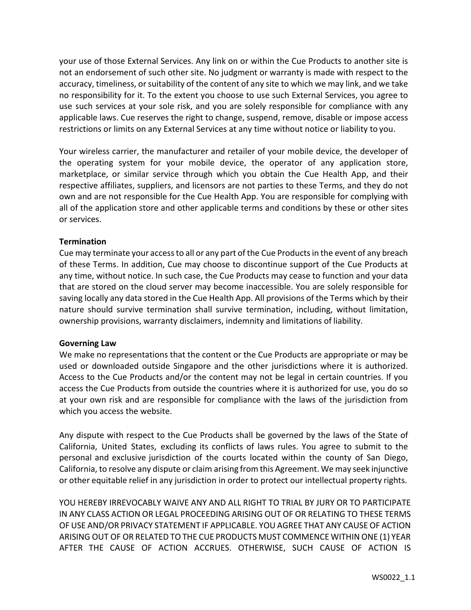your use of those External Services. Any link on or within the Cue Products to another site is not an endorsement of such other site. No judgment or warranty is made with respect to the accuracy, timeliness, or suitability of the content of any site to which we may link, and we take no responsibility for it. To the extent you choose to use such External Services, you agree to use such services at your sole risk, and you are solely responsible for compliance with any applicable laws. Cue reserves the right to change, suspend, remove, disable or impose access restrictions or limits on any External Services at any time without notice or liability to you.

Your wireless carrier, the manufacturer and retailer of your mobile device, the developer of the operating system for your mobile device, the operator of any application store, marketplace, or similar service through which you obtain the Cue Health App, and their respective affiliates, suppliers, and licensors are not parties to these Terms, and they do not own and are not responsible for the Cue Health App. You are responsible for complying with all of the application store and other applicable terms and conditions by these or other sites or services.

#### **Termination**

Cue may terminate your accessto all or any part of the Cue Productsin the event of any breach of these Terms. In addition, Cue may choose to discontinue support of the Cue Products at any time, without notice. In such case, the Cue Products may cease to function and your data that are stored on the cloud server may become inaccessible. You are solely responsible for saving locally any data stored in the Cue Health App. All provisions of the Terms which by their nature should survive termination shall survive termination, including, without limitation, ownership provisions, warranty disclaimers, indemnity and limitations of liability.

#### **Governing Law**

We make no representations that the content or the Cue Products are appropriate or may be used or downloaded outside Singapore and the other jurisdictions where it is authorized. Access to the Cue Products and/or the content may not be legal in certain countries. If you access the Cue Products from outside the countries where it is authorized for use, you do so at your own risk and are responsible for compliance with the laws of the jurisdiction from which you access the website.

Any dispute with respect to the Cue Products shall be governed by the laws of the State of California, United States, excluding its conflicts of laws rules. You agree to submit to the personal and exclusive jurisdiction of the courts located within the county of San Diego, California, to resolve any dispute or claim arising from this Agreement. We may seek injunctive or other equitable relief in any jurisdiction in order to protect our intellectual property rights.

YOU HEREBY IRREVOCABLY WAIVE ANY AND ALL RIGHT TO TRIAL BY JURY OR TO PARTICIPATE IN ANY CLASS ACTION OR LEGAL PROCEEDING ARISING OUT OF OR RELATING TO THESE TERMS OF USE AND/OR PRIVACY STATEMENT IF APPLICABLE. YOU AGREE THAT ANY CAUSE OF ACTION ARISING OUT OF OR RELATED TOTHE CUE PRODUCTS MUST COMMENCE WITHIN ONE (1) YEAR AFTER THE CAUSE OF ACTION ACCRUES. OTHERWISE, SUCH CAUSE OF ACTION IS